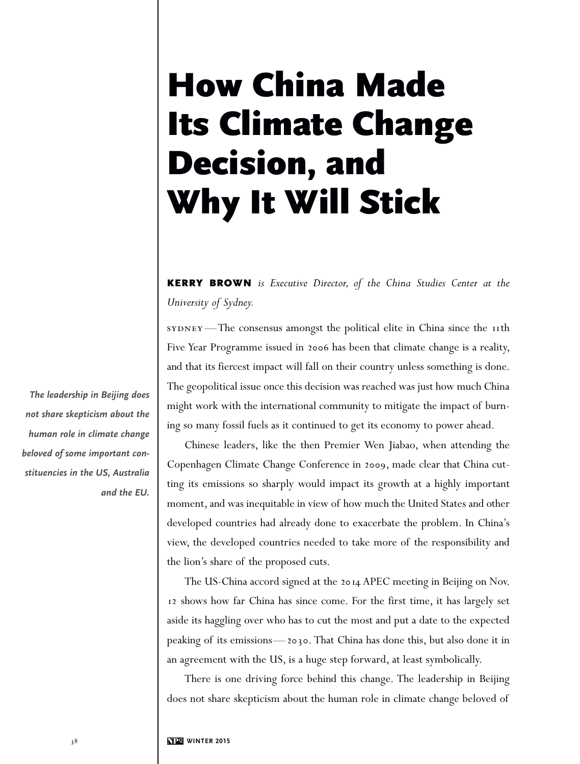## **How China Made Its Climate Change Decision, and Why It Will Stick**

**KERRY BROWN** *is Executive Director, of the China Studies Center at the University of Sydney.*

sYDNEY—The consensus amongst the political elite in China since the 11th Five Year Programme issued in 2006 has been that climate change is a reality, and that its fiercest impact will fall on their country unless something is done. The geopolitical issue once this decision was reached was just how much China might work with the international community to mitigate the impact of burning so many fossil fuels as it continued to get its economy to power ahead.

 Chinese leaders, like the then Premier Wen Jiabao, when attending the Copenhagen Climate Change Conference in 2009, made clear that China cutting its emissions so sharply would impact its growth at a highly important moment, and was inequitable in view of how much the United States and other developed countries had already done to exacerbate the problem. In China's view, the developed countries needed to take more of the responsibility and the lion's share of the proposed cuts.

 The US-China accord signed at the 2014 APEC meeting in Beijing on Nov. 12 shows how far China has since come. For the first time, it has largely set aside its haggling over who has to cut the most and put a date to the expected peaking of its emissions—2030. That China has done this, but also done it in an agreement with the US, is a huge step forward, at least symbolically.

 There is one driving force behind this change. The leadership in Beijing does not share skepticism about the human role in climate change beloved of

*The leadership in Beijing does not share skepticism about the human role in climate change beloved of some important constituencies in the US, Australia and the EU.*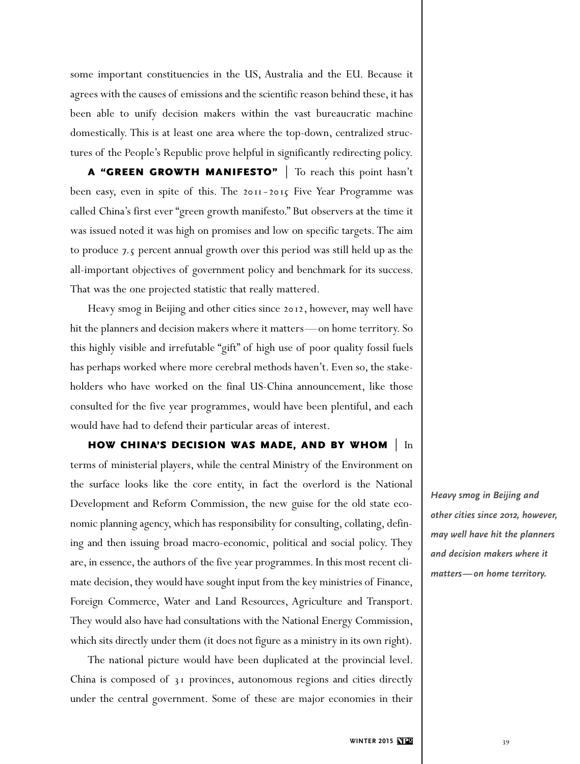some important constituencies in the US, Australia and the EU. Because it agrees with the causes of emissions and the scientific reason behind these, it has been able to unify decision makers within the vast bureaucratic machine domestically. This is at least one area where the top-down, centralized structures of the People's Republic prove helpful in significantly redirecting policy.

 **A "GREEN GROWTH MANIFESTO"** | To reach this point hasn't been easy, even in spite of this. The 2011-2015 Five Year Programme was called China's first ever "green growth manifesto." But observers at the time it was issued noted it was high on promises and low on specific targets. The aim to produce 7.5 percent annual growth over this period was still held up as the all-important objectives of government policy and benchmark for its success. That was the one projected statistic that really mattered.

 Heavy smog in Beijing and other cities since 2012, however, may well have hit the planners and decision makers where it matters—on home territory. So this highly visible and irrefutable "gift" of high use of poor quality fossil fuels has perhaps worked where more cerebral methods haven't. Even so, the stakeholders who have worked on the final US-China announcement, like those consulted for the five year programmes, would have been plentiful, and each would have had to defend their particular areas of interest.

 **HOW CHINA'S DECISION WAS MADE, AND BY WHOM** | In terms of ministerial players, while the central Ministry of the Environment on the surface looks like the core entity, in fact the overlord is the National Development and Reform Commission, the new guise for the old state economic planning agency, which has responsibility for consulting, collating, defining and then issuing broad macro-economic, political and social policy. They are, in essence, the authors of the five year programmes. In this most recent climate decision, they would have sought input from the key ministries of Finance, Foreign Commerce, Water and Land Resources, Agriculture and Transport. They would also have had consultations with the National Energy Commission, which sits directly under them (it does not figure as a ministry in its own right).

 The national picture would have been duplicated at the provincial level. China is composed of 31 provinces, autonomous regions and cities directly under the central government. Some of these are major economies in their

*Heavy smog in Beijing and other cities since 2012, however, may well have hit the planners and decision makers where it matters—on home territory.*